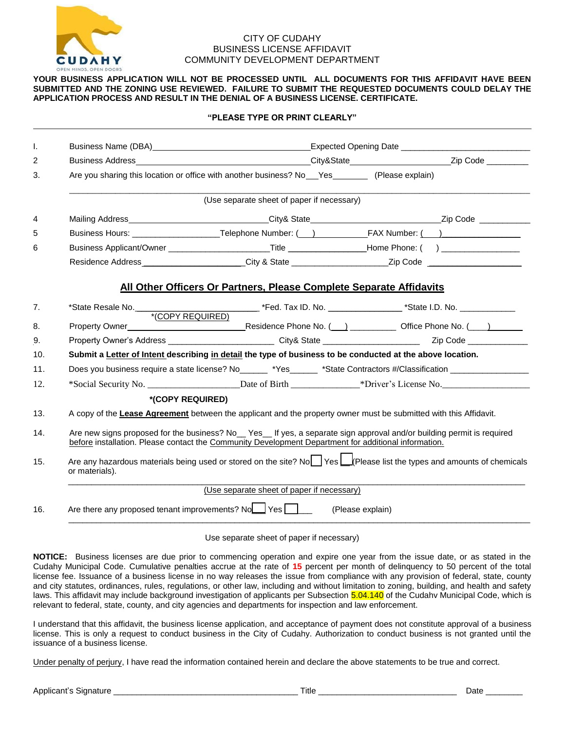

## CITY OF CUDAHY BUSINESS LICENSE AFFIDAVIT COMMUNITY DEVELOPMENT DEPARTMENT

## **YOUR BUSINESS APPLICATION WILL NOT BE PROCESSED UNTIL ALL DOCUMENTS FOR THIS AFFIDAVIT HAVE BEEN SUBMITTED AND THE ZONING USE REVIEWED. FAILURE TO SUBMIT THE REQUESTED DOCUMENTS COULD DELAY THE APPLICATION PROCESS AND RESULT IN THE DENIAL OF A BUSINESS LICENSE. CERTIFICATE.**

| (Use separate sheet of paper if necessary)                                                                                                                                                                                  |                  |                                                                                                                                                                                                                                                                                                                                                                                                                                                                                                                                                                                                                                                                                                                                                                                                                                                                                                                                                                                                                                        |  |  |  |  |  |  |  |  |
|-----------------------------------------------------------------------------------------------------------------------------------------------------------------------------------------------------------------------------|------------------|----------------------------------------------------------------------------------------------------------------------------------------------------------------------------------------------------------------------------------------------------------------------------------------------------------------------------------------------------------------------------------------------------------------------------------------------------------------------------------------------------------------------------------------------------------------------------------------------------------------------------------------------------------------------------------------------------------------------------------------------------------------------------------------------------------------------------------------------------------------------------------------------------------------------------------------------------------------------------------------------------------------------------------------|--|--|--|--|--|--|--|--|
|                                                                                                                                                                                                                             |                  |                                                                                                                                                                                                                                                                                                                                                                                                                                                                                                                                                                                                                                                                                                                                                                                                                                                                                                                                                                                                                                        |  |  |  |  |  |  |  |  |
|                                                                                                                                                                                                                             |                  |                                                                                                                                                                                                                                                                                                                                                                                                                                                                                                                                                                                                                                                                                                                                                                                                                                                                                                                                                                                                                                        |  |  |  |  |  |  |  |  |
|                                                                                                                                                                                                                             |                  |                                                                                                                                                                                                                                                                                                                                                                                                                                                                                                                                                                                                                                                                                                                                                                                                                                                                                                                                                                                                                                        |  |  |  |  |  |  |  |  |
|                                                                                                                                                                                                                             |                  |                                                                                                                                                                                                                                                                                                                                                                                                                                                                                                                                                                                                                                                                                                                                                                                                                                                                                                                                                                                                                                        |  |  |  |  |  |  |  |  |
|                                                                                                                                                                                                                             |                  |                                                                                                                                                                                                                                                                                                                                                                                                                                                                                                                                                                                                                                                                                                                                                                                                                                                                                                                                                                                                                                        |  |  |  |  |  |  |  |  |
|                                                                                                                                                                                                                             |                  |                                                                                                                                                                                                                                                                                                                                                                                                                                                                                                                                                                                                                                                                                                                                                                                                                                                                                                                                                                                                                                        |  |  |  |  |  |  |  |  |
|                                                                                                                                                                                                                             |                  |                                                                                                                                                                                                                                                                                                                                                                                                                                                                                                                                                                                                                                                                                                                                                                                                                                                                                                                                                                                                                                        |  |  |  |  |  |  |  |  |
|                                                                                                                                                                                                                             |                  |                                                                                                                                                                                                                                                                                                                                                                                                                                                                                                                                                                                                                                                                                                                                                                                                                                                                                                                                                                                                                                        |  |  |  |  |  |  |  |  |
| Submit a Letter of Intent describing in detail the type of business to be conducted at the above location.                                                                                                                  |                  |                                                                                                                                                                                                                                                                                                                                                                                                                                                                                                                                                                                                                                                                                                                                                                                                                                                                                                                                                                                                                                        |  |  |  |  |  |  |  |  |
|                                                                                                                                                                                                                             |                  |                                                                                                                                                                                                                                                                                                                                                                                                                                                                                                                                                                                                                                                                                                                                                                                                                                                                                                                                                                                                                                        |  |  |  |  |  |  |  |  |
|                                                                                                                                                                                                                             |                  |                                                                                                                                                                                                                                                                                                                                                                                                                                                                                                                                                                                                                                                                                                                                                                                                                                                                                                                                                                                                                                        |  |  |  |  |  |  |  |  |
|                                                                                                                                                                                                                             |                  |                                                                                                                                                                                                                                                                                                                                                                                                                                                                                                                                                                                                                                                                                                                                                                                                                                                                                                                                                                                                                                        |  |  |  |  |  |  |  |  |
| A copy of the Lease Agreement between the applicant and the property owner must be submitted with this Affidavit.                                                                                                           |                  |                                                                                                                                                                                                                                                                                                                                                                                                                                                                                                                                                                                                                                                                                                                                                                                                                                                                                                                                                                                                                                        |  |  |  |  |  |  |  |  |
| Are new signs proposed for the business? No_Yes_If yes, a separate sign approval and/or building permit is required<br>before installation. Please contact the Community Development Department for additional information. |                  |                                                                                                                                                                                                                                                                                                                                                                                                                                                                                                                                                                                                                                                                                                                                                                                                                                                                                                                                                                                                                                        |  |  |  |  |  |  |  |  |
| Are any hazardous materials being used or stored on the site? No Yes [f] Please list the types and amounts of chemicals<br>or materials).                                                                                   |                  |                                                                                                                                                                                                                                                                                                                                                                                                                                                                                                                                                                                                                                                                                                                                                                                                                                                                                                                                                                                                                                        |  |  |  |  |  |  |  |  |
| (Use separate sheet of paper if necessary)                                                                                                                                                                                  |                  |                                                                                                                                                                                                                                                                                                                                                                                                                                                                                                                                                                                                                                                                                                                                                                                                                                                                                                                                                                                                                                        |  |  |  |  |  |  |  |  |
|                                                                                                                                                                                                                             | (Please explain) |                                                                                                                                                                                                                                                                                                                                                                                                                                                                                                                                                                                                                                                                                                                                                                                                                                                                                                                                                                                                                                        |  |  |  |  |  |  |  |  |
|                                                                                                                                                                                                                             |                  | Business Address <b>Example 2</b> in the City & State <b>City &amp; State 2</b> in the City of Code 2 in the City of City & State 2 in the City & State 2 in the City & State 2 in the City & State 2 in the City & State 2 in the City & St<br>Are you sharing this location or office with another business? No__Yes_________ (Please explain)<br>Business Applicant/Owner __________________________Title _________________Home Phone: () ________________<br>Residence Address________________________City & State __________________________Zip Code _____________________<br>All Other Officers Or Partners, Please Complete Separate Affidavits<br>*State Resale No.<br>*(COPY REQUIRED)<br>Property Owner's Address _______________________________City& State ______________________________Zip Code ____________________________<br>*Social Security No. ________________________Date of Birth ________________*Driver's License No.<br><i><b>*(COPY REQUIRED)</b></i><br>Are there any proposed tenant improvements? No Yes |  |  |  |  |  |  |  |  |

Use separate sheet of paper if necessary)

**NOTICE:** Business licenses are due prior to commencing operation and expire one year from the issue date, or as stated in the Cudahy Municipal Code. Cumulative penalties accrue at the rate of **15** percent per month of delinquency to 50 percent of the total license fee. Issuance of a business license in no way releases the issue from compliance with any provision of federal, state, county and city statutes, ordinances, rules, regulations, or other law, including and without limitation to zoning, building, and health and safety laws. This affidavit may include background investigation of applicants per Subsection 5.04.140 of the Cudahv Municipal Code, which is relevant to federal, state, county, and city agencies and departments for inspection and law enforcement.

I understand that this affidavit, the business license application, and acceptance of payment does not constitute approval of a business license. This is only a request to conduct business in the City of Cudahy. Authorization to conduct business is not granted until the issuance of a business license.

Under penalty of perjury, I have read the information contained herein and declare the above statements to be true and correct.